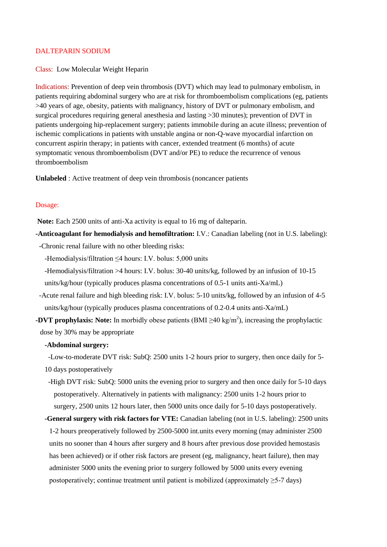## DALTEPARIN SODIUM

Class: Low Molecular Weight Heparin

Indications: Prevention of deep vein thrombosis (DVT) which may lead to pulmonary embolism, in patients requiring abdominal surgery who are at risk for thromboembolism complications (eg, patients >40 years of age, obesity, patients with malignancy, history of DVT or pulmonary embolism, and surgical procedures requiring general anesthesia and lasting >30 minutes); prevention of DVT in patients undergoing hip-replacement surgery; patients immobile during an acute illness; prevention of ischemic complications in patients with unstable angina or non-Q-wave myocardial infarction on concurrent aspirin therapy; in patients with cancer, extended treatment (6 months) of acute symptomatic venous thromboembolism (DVT and/or PE) to reduce the recurrence of venous thromboembolism

**Unlabeled** : Active treatment of deep vein thrombosis (noncancer patients

### Dosage:

**Note:** Each 2500 units of anti-Xa activity is equal to 16 mg of dalteparin.

**-Anticoagulant for hemodialysis and hemofiltration:** I.V.: Canadian labeling (not in U.S. labeling):

-Chronic renal failure with no other bleeding risks:

-Hemodialysis/filtration ≤4 hours: I.V. bolus: 5,000 units

-Hemodialysis/filtration >4 hours: I.V. bolus: 30-40 units/kg, followed by an infusion of 10-15

units/kg/hour (typically produces plasma concentrations of 0.5-1 units anti-Xa/mL)

- -Acute renal failure and high bleeding risk: I.V. bolus: 5-10 units/kg, followed by an infusion of 4-5 units/kg/hour (typically produces plasma concentrations of 0.2-0.4 units anti-Xa/mL)
- **-DVT prophylaxis:** Note: In morbidly obese patients  $(BMI \ge 40 \text{ kg/m}^2)$ , increasing the prophylactic dose by 30% may be appropriate

# **-Abdominal surgery:**

 -Low-to-moderate DVT risk: SubQ: 2500 units 1-2 hours prior to surgery, then once daily for 5- 10 days postoperatively

- -High DVT risk: SubQ: 5000 units the evening prior to surgery and then once daily for 5-10 days postoperatively. Alternatively in patients with malignancy: 2500 units 1-2 hours prior to surgery, 2500 units 12 hours later, then 5000 units once daily for 5-10 days postoperatively.
- **-General surgery with risk factors for VTE:** Canadian labeling (not in U.S. labeling): 2500 units 1-2 hours preoperatively followed by 2500-5000 int.units every morning (may administer 2500 units no sooner than 4 hours after surgery and 8 hours after previous dose provided hemostasis has been achieved) or if other risk factors are present (eg, malignancy, heart failure), then may administer 5000 units the evening prior to surgery followed by 5000 units every evening postoperatively; continue treatment until patient is mobilized (approximately ≥5-7 days)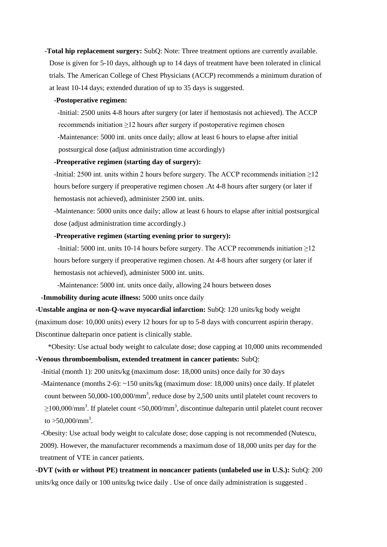-**Total hip replacement surgery:** SubQ: Note: Three treatment options are currently available. Dose is given for 5-10 days, although up to 14 days of treatment have been tolerated in clinical trials. The American College of Chest Physicians (ACCP) recommends a minimum duration of at least 10-14 days; extended duration of up to 35 days is suggested.

#### **-Postoperative regimen:**

 -Initial: 2500 units 4-8 hours after surgery (or later if hemostasis not achieved). The ACCP recommends initiation ≥12 hours after surgery if postoperative regimen chosen

 -Maintenance: 5000 int. units once daily; allow at least 6 hours to elapse after initial postsurgical dose (adjust administration time accordingly)

### **-Preoperative regimen (starting day of surgery):**

-Initial: 2500 int. units within 2 hours before surgery. The ACCP recommends initiation  $\geq$ 12 hours before surgery if preoperative regimen chosen .At 4-8 hours after surgery (or later if hemostasis not achieved), administer 2500 int. units.

-Maintenance: 5000 units once daily; allow at least 6 hours to elapse after initial postsurgical dose (adjust administration time accordingly.)

### **-Preoperative regimen (starting evening prior to surgery):**

-Initial: 5000 int. units 10-14 hours before surgery. The ACCP recommends initiation  $\geq$ 12 hours before surgery if preoperative regimen chosen. At 4-8 hours after surgery (or later if hemostasis not achieved), administer 5000 int. units.

-Maintenance: 5000 int. units once daily, allowing 24 hours between doses

 **-Immobility during acute illness:** 5000 units once daily

**-Unstable angina or non-Q-wave myocardial infarction:** SubQ: 120 units/kg body weight (maximum dose: 10,000 units) every 12 hours for up to 5-8 days with concurrent aspirin therapy. Discontinue dalteparin once patient is clinically stable.

 \*Obesity: Use actual body weight to calculate dose; dose capping at 10,000 units recommended **-Venous thromboembolism, extended treatment in cancer patients:** SubQ:

-Initial (month 1): 200 units/kg (maximum dose: 18,000 units) once daily for 30 days

 -Maintenance (months 2-6): ~150 units/kg (maximum dose: 18,000 units) once daily. If platelet count between  $50,000$ -100,000/mm<sup>3</sup>, reduce dose by 2,500 units until platelet count recovers to  $\geq$ 100,000/mm<sup>3</sup>. If platelet count <50,000/mm<sup>3</sup>, discontinue dalteparin until platelet count recover to  $>50,000/\text{mm}^3$ .

 -Obesity: Use actual body weight to calculate dose; dose capping is not recommended (Nutescu, 2009). However, the manufacturer recommends a maximum dose of 18,000 units per day for the treatment of VTE in cancer patients.

**-DVT (with or without PE) treatment in noncancer patients (unlabeled use in U.S.):** SubQ: 200 units/kg once daily or 100 units/kg twice daily . Use of once daily administration is suggested .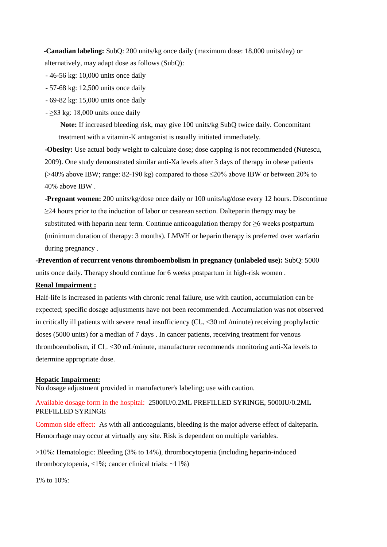**-Canadian labeling:** SubQ: 200 units/kg once daily (maximum dose: 18,000 units/day) or alternatively, may adapt dose as follows (SubQ):

- 46-56 kg: 10,000 units once daily

- 57-68 kg: 12,500 units once daily

- 69-82 kg: 15,000 units once daily

 $\geq$ 83 kg: 18,000 units once daily

**Note:** If increased bleeding risk, may give 100 units/kg SubQ twice daily. Concomitant treatment with a vitamin-K antagonist is usually initiated immediately.

**-Obesity:** Use actual body weight to calculate dose; dose capping is not recommended (Nutescu, 2009). One study demonstrated similar anti-Xa levels after 3 days of therapy in obese patients ( $>40\%$  above IBW; range: 82-190 kg) compared to those  $\leq$ 20% above IBW or between 20% to 40% above IBW .

**-Pregnant women:** 200 units/kg/dose once daily or 100 units/kg/dose every 12 hours. Discontinue  $\geq$ 24 hours prior to the induction of labor or cesarean section. Dalteparin therapy may be substituted with heparin near term. Continue anticoagulation therapy for ≥6 weeks postpartum (minimum duration of therapy: 3 months). LMWH or heparin therapy is preferred over warfarin during pregnancy .

**-Prevention of recurrent venous thromboembolism in pregnancy (unlabeled use):** SubQ: 5000 units once daily. Therapy should continue for 6 weeks postpartum in high-risk women .

## **Renal Impairment :**

Half-life is increased in patients with chronic renal failure, use with caution, accumulation can be expected; specific dosage adjustments have not been recommended. Accumulation was not observed in critically ill patients with severe renal insufficiency  $(Cl_{cr} < 30 \text{ mL/minute})$  receiving prophylactic doses (5000 units) for a median of 7 days . In cancer patients, receiving treatment for venous thromboembolism, if  $Cl_{cr}$  <30 mL/minute, manufacturer recommends monitoring anti-Xa levels to determine appropriate dose.

#### **Hepatic Impairment:**

No dosage adjustment provided in manufacturer's labeling; use with caution.

Available dosage form in the hospital: 2500IU/0.2ML PREFILLED SYRINGE, 5000IU/0.2ML PREFILLED SYRINGE

Common side effect: As with all anticoagulants, bleeding is the major adverse effect of dalteparin. Hemorrhage may occur at virtually any site. Risk is dependent on multiple variables.

>10%: Hematologic: Bleeding (3% to 14%), thrombocytopenia (including heparin-induced thrombocytopenia, <1%; cancer clinical trials: ~11%)

1% to 10%: